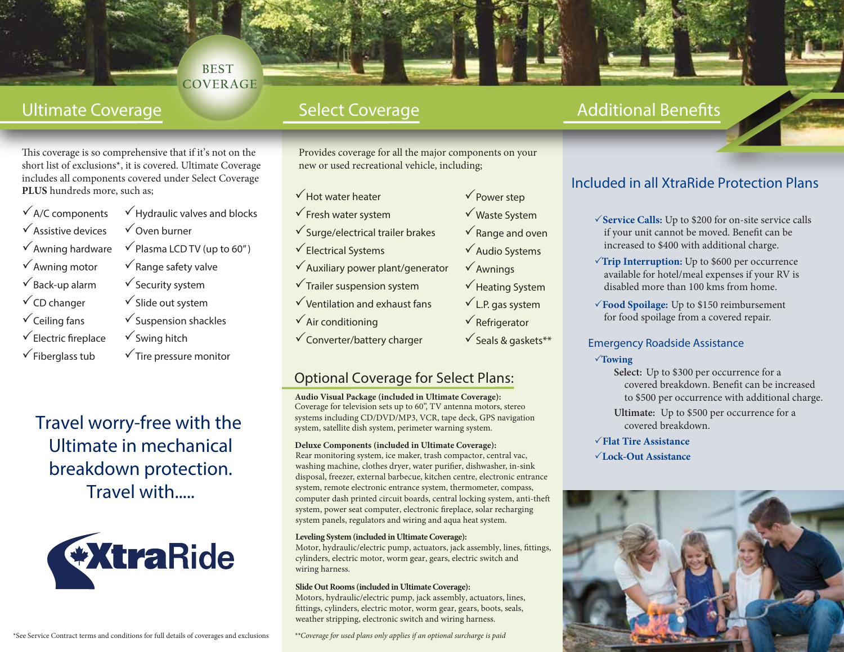### **BEST COVERAGE**

This coverage is so comprehensive that if it's not on the short list of exclusions\*, it is covered. Ultimate Coverage includes all components covered under Select Coverage **PLUS** hundreds more, such as;

 $\sqrt{A/C}$  components Assistive devices  $\sqrt{\ }$  Awning hardware  $\sqrt{\ }$  Awning motor  $\sqrt{\mathsf{Back}\text{-}$ up alarm  $\checkmark$  CD changer  $\checkmark$  Ceiling fans  $\sqrt{\ }$ Electric fireplace

 $\checkmark$  Fiberglass tub

- $\checkmark$  Hydraulic valves and blocks Oven burner  $\checkmark$  Plasma LCD TV (up to 60")  $\sqrt{\ }$  Range safety valve  $\checkmark$  Security system  $\checkmark$  Slide out system  $\checkmark$  Suspension shackles  $\checkmark$  Swing hitch
- $\sqrt{\ }$ Tire pressure monitor

Travel worry-free with the Ultimate in mechanical breakdown protection. Travel with.....



Provides coverage for all the major components on your new or used recreational vehicle, including;

> $\sqrt{\overline{P}}$ Power step Waste System  $\sqrt{\ }$ Range and oven  $\checkmark$  Audio Systems

 $\sqrt{\mathsf{A}}$ wnings

 $\checkmark$  Heating System  $\checkmark$  L.P. gas system  $\sqrt{\mathsf{Refrigerator}}$  $\checkmark$  Seals & gaskets\*\*

- $\sqrt{\frac{1}{100}}$  Hot water heater
- $\checkmark$  Fresh water system
- $\checkmark$  Surge/electrical trailer brakes
- $\sqrt{\overline{\text{Electrical Systems}}}$
- $\checkmark$  Auxiliary power plant/generator
- $\sqrt{\ }$ Trailer suspension system
- $\checkmark$  Ventilation and exhaust fans
- $\sqrt{\text{Air condition}}$
- Converter/battery charger

## **Optional Coverage for Select Plans:**

**Audio Visual Package (included in Ultimate Coverage):**  Coverage for television sets up to 60", TV antenna motors, stereo systems including CD/DVD/MP3, VCR, tape deck, GPS navigation system, satellite dish system, perimeter warning system.

#### **Deluxe Components (included in Ultimate Coverage):**

Rear monitoring system, ice maker, trash compactor, central vac, washing machine, clothes dryer, water purifier, dishwasher, in-sink disposal, freezer, external barbecue, kitchen centre, electronic entrance system, remote electronic entrance system, thermometer, compass, computer dash printed circuit boards, central locking system, anti-the system, power seat computer, electronic fireplace, solar recharging system panels, regulators and wiring and aqua heat system.

#### **Leveling System (included in Ultimate Coverage):**

Motor, hydraulic/electric pump, actuators, jack assembly, lines, fittings, cylinders, electric motor, worm gear, gears, electric switch and wiring harness.

#### **Slide Out Rooms (included in Ultimate Coverage):**

Motors, hydraulic/electric pump, jack assembly, actuators, lines, ttings, cylinders, electric motor, worm gear, gears, boots, seals, weather stripping, electronic switch and wiring harness.

*\*\*Coverage for used plans only applies if an optional surcharge is paid*

# Ultimate Coverage The Select Coverage The Additional Benefits

## Included in all XtraRide Protection Plans

- **Service Calls:** Up to \$200 for on-site service calls if your unit cannot be moved. Benefit can be increased to \$400 with additional charge.
- **Trip Interruption:** Up to \$600 per occurrence available for hotel/meal expenses if your RV is disabled more than 100 kms from home.
- **Food Spoilage:** Up to \$150 reimbursement for food spoilage from a covered repair.

#### Emergency Roadside Assistance

#### **Towing**

- **Select:** Up to \$300 per occurrence for a covered breakdown. Benefit can be increased to \$500 per occurrence with additional charge.
- **Ultimate:** Up to \$500 per occurrence for a covered breakdown.
- **Flat Tire Assistance**
- **Lock-Out Assistance**